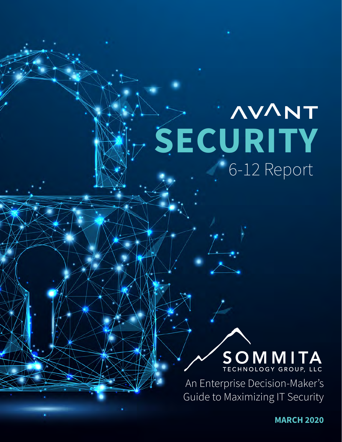# **AVANT SECURITY** 6-12 Report

# **SOMMITA**

An Enterprise Decision-Maker's Guide to Maximizing IT Security

> .<br>ا **MARCH 2020**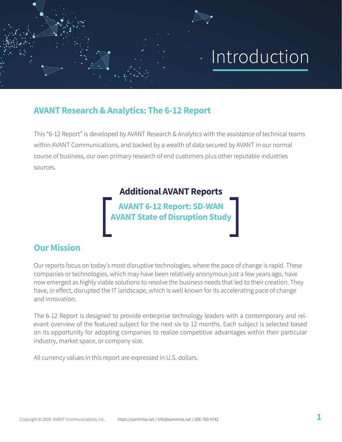# Introduction

## **AVANT Research & Analytics: The 6-12 Report**

This "6-12 Report" is developed by AVANT Research & Analytics with the assistance of technical teams within AVANT Communications, and backed by a wealth of data secured by AVANT in our normal course of business, our own primary research of end customers plus other reputable industries sources.

## **Additional AVANT Reports**

**[AVANT 6-12 Report: SD-WAN](https://sommita.net/tools/networking) [AVANT State of Disruption Study](https://sommita.net/tools/security/)** 

## **Our Mission**

Our reports focus on today's most disruptive technologies, where the pace of change is rapid. These companies or technologies, which may have been relatively anonymous just a few years ago, have now emerged as highly viable solutions to resolve the business needs that led to their creation. They have, in effect, disrupted the IT landscape, which is well known for its accelerating pace of change and innovation.

The 6-12 Report is designed to provide enterprise technology leaders with a contemporary and relevant overview of the featured subject for the next six to 12 months. Each subject is selected based on its opportunity for adopting companies to realize competitive advantages within their particular industry, market space, or company size.

All currency values in this report are expressed in U.S. dollars.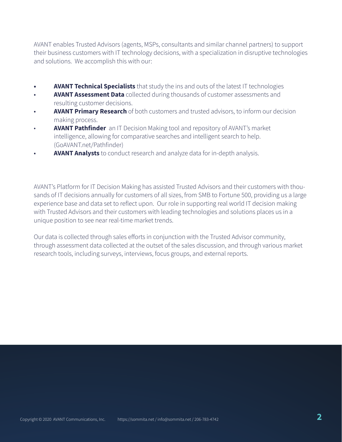AVANT enables Trusted Advisors (agents, MSPs, consultants and similar channel partners) to support their business customers with IT technology decisions, with a specialization in disruptive technologies and solutions. We accomplish this with our:

- **• AVANT Technical Specialists** that study the ins and outs of the latest IT technologies
- **AVANT Assessment Data** collected during thousands of customer assessments and resulting customer decisions.
- **AVANT Primary Research** of both customers and trusted advisors, to inform our decision making process.
- **AVANT Pathfinder** an IT Decision Making tool and repository of AVANT's market intelligence, allowing for comparative searches and intelligent search to help. (GoAVANT.net/Pathfinder)
- **AVANT Analysts** to conduct research and analyze data for in-depth analysis.

AVANT's Platform for IT Decision Making has assisted Trusted Advisors and their customers with thousands of IT decisions annually for customers of all sizes, from SMB to Fortune 500, providing us a large experience base and data set to reflect upon. Our role in supporting real world IT decision making with Trusted Advisors and their customers with leading technologies and solutions places us in a unique position to see near real-time market trends.

Our data is collected through sales efforts in conjunction with the Trusted Advisor community, through assessment data collected at the outset of the sales discussion, and through various market research tools, including surveys, interviews, focus groups, and external reports.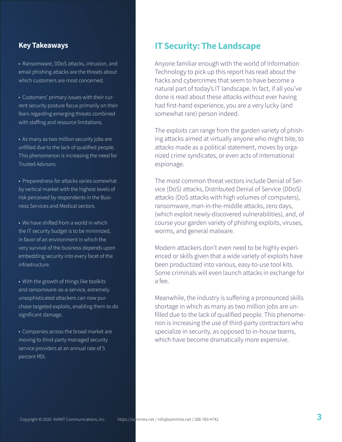#### **Key Takeaways**

• Ransomware, DDoS attacks, intrusion, and email phishing attacks are the threats about which customers are most concerned.

• Customers' primary issues with their current security posture focus primarily on their fears regarding emerging threats combined with staffing and resource limitations.

• As many as two million security jobs are unfilled due to the lack of qualified people. This phenomenon is increasing the need for Trusted Advisors.

• Preparedness for attacks varies somewhat by vertical market with the highest levels of risk perceived by respondents in the Business Services and Medical sectors.

• We have shifted from a world in which the IT security budget is to be minimized, in favor of an environment in which the very survival of the business depends upon embedding security into every facet of the infrastructure.

• With the growth of things like toolkits and ransomware-as-a-service, extremely unsophisticated attackers can now purchase targeted exploits, enabling them to do significant damage.

• Companies across the broad market are moving to third-party managed security service providers at an annual rate of 5 percent RDI.

### **IT Security: The Landscape**

Anyone familiar enough with the world of Information Technology to pick up this report has read about the hacks and cybercrimes that seem to have become a natural part of today's IT landscape. In fact, if all you've done is read about these attacks without ever having had first-hand experience, you are a very lucky (and somewhat rare) person indeed.

The exploits can range from the garden variety of phishing attacks aimed at virtually anyone who might bite, to attacks made as a political statement, moves by organized crime syndicates, or even acts of international espionage.

The most common threat vectors include Denial of Service (DoS) attacks, Distributed Denial of Service (DDoS) attacks (DoS attacks with high volumes of computers), ransomware, man-in-the-middle attacks, zero days, (which exploit newly-discovered vulnerabilities), and, of course your garden variety of phishing exploits, viruses, worms, and general malware.

Modern attackers don't even need to be highly experienced or skills given that a wide variety of exploits have been productized into various, easy-to-use tool kits. Some criminals will even launch attacks in exchange for a fee.

Meanwhile, the industry is suffering a pronounced skills shortage in which as many as two million jobs are unfilled due to the lack of qualified people. This phenomenon is increasing the use of third-party contractors who specialize in security, as opposed to in-house teams, which have become dramatically more expensive.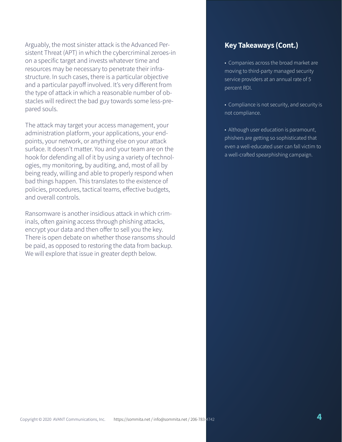Arguably, the most sinister attack is the Advanced Persistent Threat (APT) in which the cybercriminal zeroes-in on a specific target and invests whatever time and resources may be necessary to penetrate their infrastructure. In such cases, there is a particular objective and a particular payoff involved. It's very different from the type of attack in which a reasonable number of obstacles will redirect the bad guy towards some less-prepared souls.

The attack may target your access management, your administration platform, your applications, your endpoints, your network, or anything else on your attack surface. It doesn't matter. You and your team are on the hook for defending all of it by using a variety of technologies, my monitoring, by auditing, and, most of all by being ready, willing and able to properly respond when bad things happen. This translates to the existence of policies, procedures, tactical teams, effective budgets, and overall controls.

Ransomware is another insidious attack in which criminals, often gaining access through phishing attacks, encrypt your data and then offer to sell you the key. There is open debate on whether those ransoms should be paid, as opposed to restoring the data from backup. We will explore that issue in greater depth below.

#### **Key Takeaways (Cont.)**

• Companies across the broad market are moving to third-party managed security service providers at an annual rate of 5 percent RDI.

• Compliance is not security, and security is not compliance.

• Although user education is paramount, phishers are getting so sophisticated that even a well-educated user can fall victim to a well-crafted spearphishing campaign.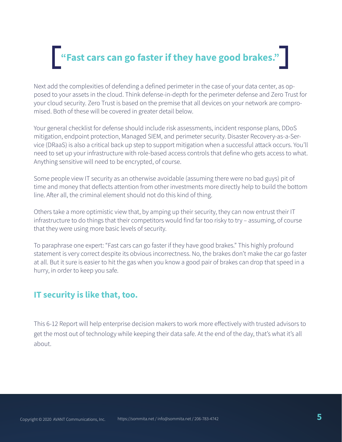# **"Fast cars can go faster if they have good brakes."**

Next add the complexities of defending a defined perimeter in the case of your data center, as opposed to your assets in the cloud. Think defense-in-depth for the perimeter defense and Zero Trust for your cloud security. Zero Trust is based on the premise that all devices on your network are compromised. Both of these will be covered in greater detail below.

Your general checklist for defense should include risk assessments, incident response plans, DDoS mitigation, endpoint protection, Managed SIEM, and perimeter security. Disaster Recovery-as-a-Service (DRaaS) is also a critical back up step to support mitigation when a successful attack occurs. You'll need to set up your infrastructure with role-based access controls that define who gets access to what. Anything sensitive will need to be encrypted, of course.

Some people view IT security as an otherwise avoidable (assuming there were no bad guys) pit of time and money that deflects attention from other investments more directly help to build the bottom line. After all, the criminal element should not do this kind of thing.

Others take a more optimistic view that, by amping up their security, they can now entrust their IT infrastructure to do things that their competitors would find far too risky to try – assuming, of course that they were using more basic levels of security.

To paraphrase one expert: "Fast cars can go faster if they have good brakes." This highly profound statement is very correct despite its obvious incorrectness. No, the brakes don't make the car go faster at all. But it sure is easier to hit the gas when you know a good pair of brakes can drop that speed in a hurry, in order to keep you safe.

#### **IT security is like that, too.**

This 6-12 Report will help enterprise decision makers to work more effectively with trusted advisors to get the most out of technology while keeping their data safe. At the end of the day, that's what it's all about.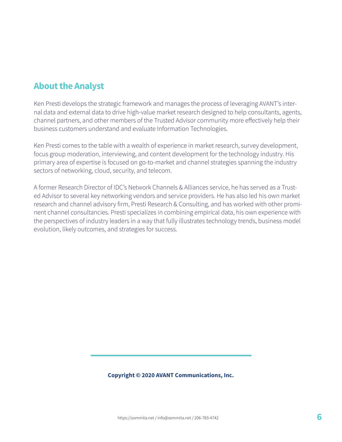# **About the Analyst**

Ken Presti develops the strategic framework and manages the process of leveraging AVANT's internal data and external data to drive high-value market research designed to help consultants, agents, channel partners, and other members of the Trusted Advisor community more effectively help their business customers understand and evaluate Information Technologies.

Ken Presti comes to the table with a wealth of experience in market research, survey development, focus group moderation, interviewing, and content development for the technology industry. His primary area of expertise is focused on go-to-market and channel strategies spanning the industry sectors of networking, cloud, security, and telecom.

A former Research Director of IDC's Network Channels & Alliances service, he has served as a Trusted Advisor to several key networking vendors and service providers. He has also led his own market research and channel advisory firm, Presti Research & Consulting, and has worked with other prominent channel consultancies. Presti specializes in combining empirical data, his own experience with the perspectives of industry leaders in a way that fully illustrates technology trends, business model evolution, likely outcomes, and strategies for success.

#### **Copyright © 2020 AVANT Communications, Inc.**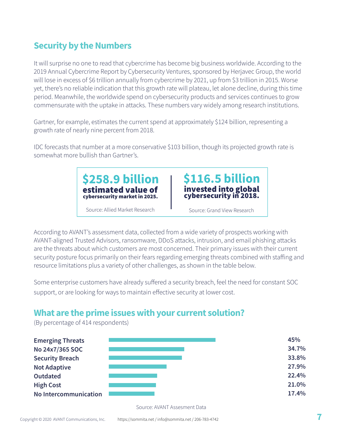# **Security by the Numbers**

(By percentage of 414 respondents)

It will surprise no one to read that cybercrime has become big business worldwide. According to the 2019 Annual Cybercrime Report by Cybersecurity Ventures, sponsored by Herjavec Group, the world will lose in excess of \$6 trillion annually from cybercrime by 2021, up from \$3 trillion in 2015. Worse yet, there's no reliable indication that this growth rate will plateau, let alone decline, during this time period. Meanwhile, the worldwide spend on cybersecurity products and services continues to grow commensurate with the uptake in attacks. These numbers vary widely among research institutions.

Gartner, for example, estimates the current spend at approximately \$124 billion, representing a growth rate of nearly nine percent from 2018.

IDC forecasts that number at a more conservative \$103 billion, though its projected growth rate is somewhat more bullish than Gartner's.

> **\$258.9 billion** estimated value of cybersecurity market in 2025.



Source: Allied Market Research **I** Source: Grand View Research

According to AVANT's assessment data, collected from a wide variety of prospects working with AVANT-aligned Trusted Advisors, ransomware, DDoS attacks, intrusion, and email phishing attacks are the threats about which customers are most concerned. Their primary issues with their current security posture focus primarily on their fears regarding emerging threats combined with staffing and resource limitations plus a variety of other challenges, as shown in the table below.

Some enterprise customers have already suffered a security breach, feel the need for constant SOC support, or are looking for ways to maintain effective security at lower cost.

# **What are the prime issues with your current solution?**

**Emerging Threats No 24x7/365 SOC Security Breach Not Adaptive Outdated High Cost No Intercommunication 45% 34.7% 33.8% 27.9% 22.4% 21.0% 17.4%**

Source: AVANT Assesment Data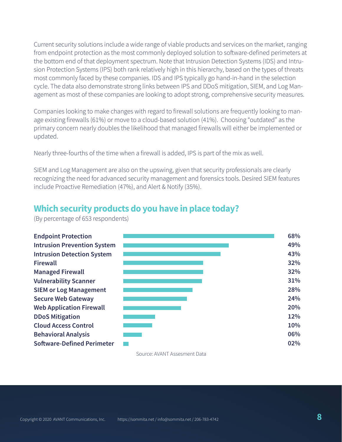Current security solutions include a wide range of viable products and services on the market, ranging from endpoint protection as the most commonly deployed solution to software-defined perimeters at the bottom end of that deployment spectrum. Note that Intrusion Detection Systems (IDS) and Intrusion Protection Systems (IPS) both rank relatively high in this hierarchy, based on the types of threats most commonly faced by these companies. IDS and IPS typically go hand-in-hand in the selection cycle. The data also demonstrate strong links between IPS and DDoS mitigation, SIEM, and Log Management as most of these companies are looking to adopt strong, comprehensive security measures.

Companies looking to make changes with regard to firewall solutions are frequently looking to manage existing firewalls (61%) or move to a cloud-based solution (41%). Choosing "outdated" as the primary concern nearly doubles the likelihood that managed firewalls will either be implemented or updated.

Nearly three-fourths of the time when a firewall is added, IPS is part of the mix as well.

SIEM and Log Management are also on the upswing, given that security professionals are clearly recognizing the need for advanced security management and forensics tools. Desired SIEM features include Proactive Remediation (47%), and Alert & Notify (35%).

### **Which security products do you have in place today?**



(By percentage of 653 respondents)

Source: AVANT Assesment Data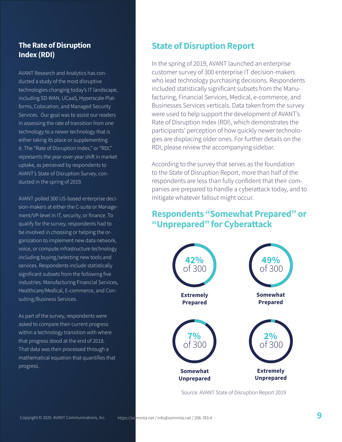#### **The Rate of Disruption Index (RDI)**

AVANT Research and Analytics has conducted a study of the most disruptive technologies changing today's IT landscape, including SD-WAN, UCaaS, Hyperscale Platforms, Colocation, and Managed Security Services. Our goal was to assist our readers in assessing the rate of transition from one technology to a newer technology that is either taking its place or supplementing it. The "Rate of Disruption Index," or "RDI," represents the year-over-year shift in market uptake, as perceived by respondents to AVANT's State of Disruption Survey, conducted in the spring of 2019.

AVANT polled 300 US-based enterprise decision-makers at either the C-suite or Management/VP-level in IT, security, or finance. To qualify for the survey, respondents had to be involved in choosing or helping the organization to implement new data network, voice, or compute infrastructure technology including buying/selecting new tools and services. Respondents include statistically significant subsets from the following five industries: Manufacturing Financial Services, Healthcare/Medical, E-commerce, and Consulting/Business Services.

As part of the survey, respondents were asked to compare their current progress within a technology transition with where that progress stood at the end of 2018. That data was then processed through a mathematical equation that quantifies that progress.

# **State of Disruption Report**

In the spring of 2019, AVANT launched an enterprise customer survey of 300 enterprise IT decision-makers who lead technology purchasing decisions. Respondents included statistically significant subsets from the Manufacturing, Financial Services, Medical, e-commerce, and Businesses Services verticals. Data taken from the survey were used to help support the development of AVANT's Rate of Disruption Index (RDI), which demonstrates the participants' perception of how quickly newer technologies are displacing older ones. For further details on the RDI, please review the accompanying sidebar.

According to the survey that serves as the foundation to the State of Disruption Report, more than half of the respondents are less than fully confident that their companies are prepared to handle a cyberattack today, and to mitigate whatever fallout might occur.

## **Respondents "Somewhat Prepared" or "Unprepared" for Cyberattack**



Source: [AVANT State of Disruption Report 2019](https://sommita.net/tools/security)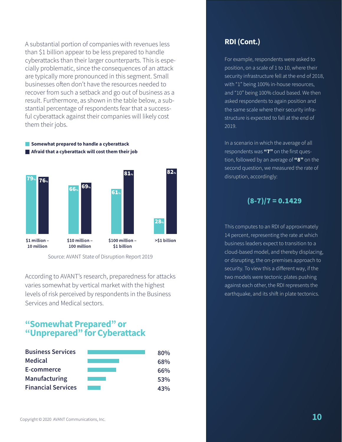A substantial portion of companies with revenues less than \$1 billion appear to be less prepared to handle cyberattacks than their larger counterparts. This is especially problematic, since the consequences of an attack are typically more pronounced in this segment. Small businesses often don't have the resources needed to recover from such a setback and go out of business as a result. Furthermore, as shown in the table below, a substantial percentage of respondents fear that a successful cyberattack against their companies will likely cost them their jobs.

**Somewhat prepared to handle a cyberattack Afraid that a cyberattack will cost them their job**



Source: [AVANT State of Disruption Report 2019](https://sommita.net/tools/security/)

According to AVANT's research, preparedness for attacks varies somewhat by vertical market with the highest levels of risk perceived by respondents in the Business Services and Medical sectors.

#### **"Somewhat Prepared" or "Unprepared" for Cyberattack**

| <b>Business Services</b>  | 80% |
|---------------------------|-----|
| <b>Medical</b>            | 68% |
| E-commerce                | 66% |
| <b>Manufacturing</b>      | 53% |
| <b>Financial Services</b> | 43% |

#### **RDI (Cont.)**

For example, respondents were asked to position, on a scale of 1 to 10, where their security infrastructure fell at the end of 2018, with "1" being 100% in-house resources, and "10" being 100% cloud based. We then asked respondents to again position and the same scale where their security infrastructure is expected to fall at the end of 2019.

In a scenario in which the average of all respondents was **"7"** on the first question, followed by an average of **"8"** on the second question, we measured the rate of disruption, accordingly:

#### $(8-7)/7 = 0.1429$

This computes to an RDI of approximately 14 percent, representing the rate at which business leaders expect to transition to a cloud-based model, and thereby displacing, or disrupting, the on-premises approach to security. To view this a different way, if the two models were tectonic plates pushing against each other, the RDI represents the earthquake, and its shift in plate tectonics.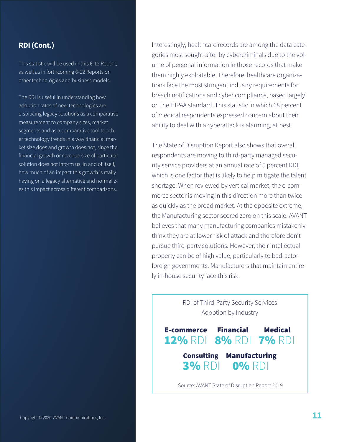#### **RDI (Cont.)**

This statistic will be used in this 6-12 Report, as well as in forthcoming 6-12 Reports on other technologies and business models.

The RDI is useful in understanding how adoption rates of new technologies are displacing legacy solutions as a comparative measurement to company sizes, market segments and as a comparative tool to other technology trends in a way financial market size does and growth does not, since the financial growth or revenue size of particular solution does not inform us, in and of itself, how much of an impact this growth is really having on a legacy alternative and normalizes this impact across different comparisons.

Interestingly, healthcare records are among the data categories most sought-after by cybercriminals due to the volume of personal information in those records that make them highly exploitable. Therefore, healthcare organizations face the most stringent industry requirements for breach notifications and cyber compliance, based largely on the HIPAA standard. This statistic in which 68 percent of medical respondents expressed concern about their ability to deal with a cyberattack is alarming, at best.

The State of Disruption Report also shows that overall respondents are moving to third-party managed security service providers at an annual rate of 5 percent RDI, which is one factor that is likely to help mitigate the talent shortage. When reviewed by vertical market, the e-commerce sector is moving in this direction more than twice as quickly as the broad market. At the opposite extreme, the Manufacturing sector scored zero on this scale. AVANT believes that many manufacturing companies mistakenly think they are at lower risk of attack and therefore don't pursue third-party solutions. However, their intellectual property can be of high value, particularly to bad-actor foreign governments. Manufacturers that maintain entirely in-house security face this risk.

RDI of Third-Party Security Services Adoption by Industry E-commerce 12% RDI 8% RDI 7% RDI Financial Medical 3% RDI Consulting Manufacturing 0% RDI

Source: [AVANT State of Disruption Report 2019](https://sommita.net/tools/security/)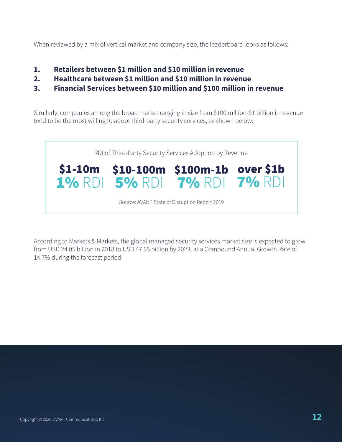When reviewed by a mix of vertical market and company size, the leaderboard looks as follows:

- **1. Retailers between \$1 million and \$10 million in revenue**
- **2. Healthcare between \$1 million and \$10 million in revenue**
- **3. Financial Services between \$10 million and \$100 million in revenue**

Similarly, companies among the broad market ranging in size from \$100 million-\$1 billion in revenue tend to be the most willing to adopt third-party security services, as shown below:



According to Markets & Markets, the global managed security services market size is expected to grow from USD 24.05 billion in 2018 to USD 47.65 billion by 2023, at a Compound Annual Growth Rate of 14.7% during the forecast period.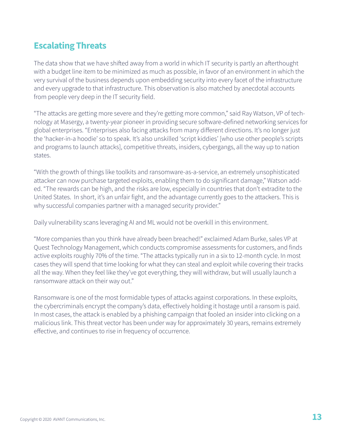# **Escalating Threats**

The data show that we have shifted away from a world in which IT security is partly an afterthought with a budget line item to be minimized as much as possible, in favor of an environment in which the very survival of the business depends upon embedding security into every facet of the infrastructure and every upgrade to that infrastructure. This observation is also matched by anecdotal accounts from people very deep in the IT security field.

"The attacks are getting more severe and they're getting more common," said Ray Watson, VP of technology at Masergy, a twenty-year pioneer in providing secure software-defined networking services for global enterprises. "Enterprises also facing attacks from many different directions. It's no longer just the 'hacker-in-a hoodie' so to speak. It's also unskilled 'script kiddies' [who use other people's scripts and programs to launch attacks], competitive threats, insiders, cybergangs, all the way up to nation states.

"With the growth of things like toolkits and ransomware-as-a-service, an extremely unsophisticated attacker can now purchase targeted exploits, enabling them to do significant damage," Watson added. "The rewards can be high, and the risks are low, especially in countries that don't extradite to the United States. In short, it's an unfair fight, and the advantage currently goes to the attackers. This is why successful companies partner with a managed security provider."

Daily vulnerability scans leveraging AI and ML would not be overkill in this environment.

"More companies than you think have already been breached!" exclaimed Adam Burke, sales VP at Quest Technology Management, which conducts compromise assessments for customers, and finds active exploits roughly 70% of the time. "The attacks typically run in a six to 12-month cycle. In most cases they will spend that time looking for what they can steal and exploit while covering their tracks all the way. When they feel like they've got everything, they will withdraw, but will usually launch a ransomware attack on their way out."

Ransomware is one of the most formidable types of attacks against corporations. In these exploits, the cybercriminals encrypt the company's data, effectively holding it hostage until a ransom is paid. In most cases, the attack is enabled by a phishing campaign that fooled an insider into clicking on a malicious link. This threat vector has been under way for approximately 30 years, remains extremely effective, and continues to rise in frequency of occurrence.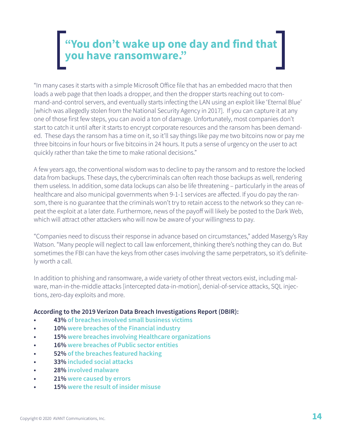# **"You don't wake up one day and find that you have ransomware."**

"In many cases it starts with a simple Microsoft Office file that has an embedded macro that then loads a web page that then loads a dropper, and then the dropper starts reaching out to command-and-control servers, and eventually starts infecting the LAN using an exploit like 'Eternal Blue' [which was allegedly stolen from the National Security Agency in 2017]. If you can capture it at any one of those first few steps, you can avoid a ton of damage. Unfortunately, most companies don't start to catch it until after it starts to encrypt corporate resources and the ransom has been demanded. These days the ransom has a time on it, so it'll say things like pay me two bitcoins now or pay me three bitcoins in four hours or five bitcoins in 24 hours. It puts a sense of urgency on the user to act quickly rather than take the time to make rational decisions."

A few years ago, the conventional wisdom was to decline to pay the ransom and to restore the locked data from backups. These days, the cybercriminals can often reach those backups as well, rendering them useless. In addition, some data lockups can also be life threatening – particularly in the areas of healthcare and also municipal governments when 9-1-1 services are affected. If you do pay the ransom, there is no guarantee that the criminals won't try to retain access to the network so they can repeat the exploit at a later date. Furthermore, news of the payoff will likely be posted to the Dark Web, which will attract other attackers who will now be aware of your willingness to pay.

"Companies need to discuss their response in advance based on circumstances," added Masergy's Ray Watson. "Many people will neglect to call law enforcement, thinking there's nothing they can do. But sometimes the FBI can have the keys from other cases involving the same perpetrators, so it's definitely worth a call.

In addition to phishing and ransomware, a wide variety of other threat vectors exist, including malware, man-in-the-middle attacks [intercepted data-in-motion], denial-of-service attacks, SQL injections, zero-day exploits and more.

#### **According to the 2019 Verizon Data Breach Investigations Report (DBIR):**

- **• 43% of breaches involved small business victims**
- **• 10% were breaches of the Financial industry**
- **• 15% were breaches involving Healthcare organizations**
- **• 16% were breaches of Public sector entities**
- **• 52% of the breaches featured hacking**
- **• 33% included social attacks**
- **• 28% involved malware**
- **• 21% were caused by errors**
- **• 15% were the result of insider misuse**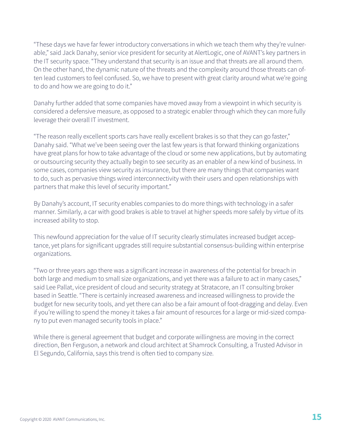"These days we have far fewer introductory conversations in which we teach them why they're vulnerable," said Jack Danahy, senior vice president for security at AlertLogic, one of AVANT's key partners in the IT security space. "They understand that security is an issue and that threats are all around them. On the other hand, the dynamic nature of the threats and the complexity around those threats can often lead customers to feel confused. So, we have to present with great clarity around what we're going to do and how we are going to do it."

Danahy further added that some companies have moved away from a viewpoint in which security is considered a defensive measure, as opposed to a strategic enabler through which they can more fully leverage their overall IT investment.

"The reason really excellent sports cars have really excellent brakes is so that they can go faster," Danahy said. "What we've been seeing over the last few years is that forward thinking organizations have great plans for how to take advantage of the cloud or some new applications, but by automating or outsourcing security they actually begin to see security as an enabler of a new kind of business. In some cases, companies view security as insurance, but there are many things that companies want to do, such as pervasive things wired interconnectivity with their users and open relationships with partners that make this level of security important."

By Danahy's account, IT security enables companies to do more things with technology in a safer manner. Similarly, a car with good brakes is able to travel at higher speeds more safely by virtue of its increased ability to stop.

This newfound appreciation for the value of IT security clearly stimulates increased budget acceptance, yet plans for significant upgrades still require substantial consensus-building within enterprise organizations.

"Two or three years ago there was a significant increase in awareness of the potential for breach in both large and medium to small size organizations, and yet there was a failure to act in many cases," said Lee Pallat, vice president of cloud and security strategy at Stratacore, an IT consulting broker based in Seattle. "There is certainly increased awareness and increased willingness to provide the budget for new security tools, and yet there can also be a fair amount of foot-dragging and delay. Even if you're willing to spend the money it takes a fair amount of resources for a large or mid-sized company to put even managed security tools in place."

While there is general agreement that budget and corporate willingness are moving in the correct direction, Ben Ferguson, a network and cloud architect at Shamrock Consulting, a Trusted Advisor in El Segundo, California, says this trend is often tied to company size.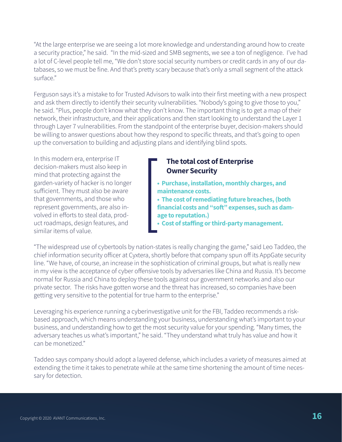"At the large enterprise we are seeing a lot more knowledge and understanding around how to create a security practice," he said. "In the mid-sized and SMB segments, we see a ton of negligence. I've had a lot of C-level people tell me, "We don't store social security numbers or credit cards in any of our databases, so we must be fine. And that's pretty scary because that's only a small segment of the attack surface."

Ferguson says it's a mistake to for Trusted Advisors to walk into their first meeting with a new prospect and ask them directly to identify their security vulnerabilities. "Nobody's going to give those to you," he said. "Plus, people don't know what they don't know. The important thing is to get a map of their network, their infrastructure, and their applications and then start looking to understand the Layer 1 through Layer 7 vulnerabilities. From the standpoint of the enterprise buyer, decision-makers should be willing to answer questions about how they respond to specific threats, and that's going to open up the conversation to building and adjusting plans and identifying blind spots.

In this modern era, enterprise IT decision-makers must also keep in mind that protecting against the garden-variety of hacker is no longer sufficient. They must also be aware that governments, and those who represent governments, are also involved in efforts to steal data, product roadmaps, design features, and similar items of value.

#### **The total cost of Enterprise Owner Security**

- **Purchase, installation, monthly charges, and maintenance costs.**
- **The cost of remediating future breaches, (both financial costs and "soft" expenses, such as damage to reputation.)**
- **Cost of staffing or third-party management.**

"The widespread use of cybertools by nation-states is really changing the game," said Leo Taddeo, the chief information security officer at Cyxtera, shortly before that company spun off its AppGate security line. "We have, of course, an increase in the sophistication of criminal groups, but what is really new in my view is the acceptance of cyber offensive tools by adversaries like China and Russia. It's become normal for Russia and China to deploy these tools against our government networks and also our private sector. The risks have gotten worse and the threat has increased, so companies have been getting very sensitive to the potential for true harm to the enterprise."

Leveraging his experience running a cyberinvestigative unit for the FBI, Taddeo recommends a riskbased approach, which means understanding your business, understanding what's important to your business, and understanding how to get the most security value for your spending. "Many times, the adversary teaches us what's important," he said. "They understand what truly has value and how it can be monetized."

Taddeo says company should adopt a layered defense, which includes a variety of measures aimed at extending the time it takes to penetrate while at the same time shortening the amount of time necessary for detection.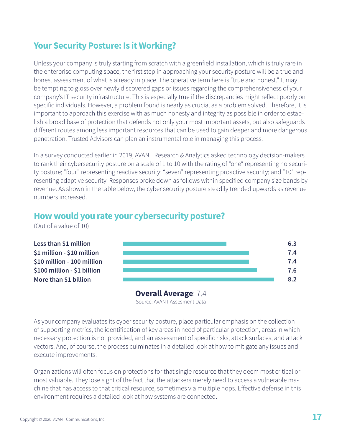# **Your Security Posture: Is it Working?**

Unless your company is truly starting from scratch with a greenfield installation, which is truly rare in the enterprise computing space, the first step in approaching your security posture will be a true and honest assessment of what is already in place. The operative term here is "true and honest." It may be tempting to gloss over newly discovered gaps or issues regarding the comprehensiveness of your company's IT security infrastructure. This is especially true if the discrepancies might reflect poorly on specific individuals. However, a problem found is nearly as crucial as a problem solved. Therefore, it is important to approach this exercise with as much honesty and integrity as possible in order to establish a broad base of protection that defends not only your most important assets, but also safeguards different routes among less important resources that can be used to gain deeper and more dangerous penetration. Trusted Advisors can plan an instrumental role in managing this process.

In a survey conducted earlier in 2019, AVANT Research & Analytics asked technology decision-makers to rank their cybersecurity posture on a scale of 1 to 10 with the rating of "one" representing no security posture; "four" representing reactive security; "seven" representing proactive security; and "10" representing adaptive security. Responses broke down as follows within specified company size bands by revenue. As shown in the table below, the cyber security posture steadily trended upwards as revenue numbers increased.

### **How would you rate your cybersecurity posture?**

(Out of a value of 10)



Source: AVANT Assesment Data **Overall Average**: 7.4

As your company evaluates its cyber security posture, place particular emphasis on the collection of supporting metrics, the identification of key areas in need of particular protection, areas in which necessary protection is not provided, and an assessment of specific risks, attack surfaces, and attack vectors. And, of course, the process culminates in a detailed look at how to mitigate any issues and execute improvements.

Organizations will often focus on protections for that single resource that they deem most critical or most valuable. They lose sight of the fact that the attackers merely need to access a vulnerable machine that has access to that critical resource, sometimes via multiple hops. Effective defense in this environment requires a detailed look at how systems are connected.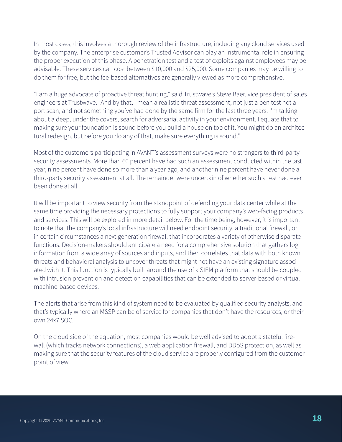In most cases, this involves a thorough review of the infrastructure, including any cloud services used by the company. The enterprise customer's Trusted Advisor can play an instrumental role in ensuring the proper execution of this phase. A penetration test and a test of exploits against employees may be advisable. These services can cost between \$10,000 and \$25,000. Some companies may be willing to do them for free, but the fee-based alternatives are generally viewed as more comprehensive.

"I am a huge advocate of proactive threat hunting," said Trustwave's Steve Baer, vice president of sales engineers at Trustwave. "And by that, I mean a realistic threat assessment; not just a pen test not a port scan, and not something you've had done by the same firm for the last three years. I'm talking about a deep, under the covers, search for adversarial activity in your environment. I equate that to making sure your foundation is sound before you build a house on top of it. You might do an architectural redesign, but before you do any of that, make sure everything is sound."

Most of the customers participating in AVANT's assessment surveys were no strangers to third-party security assessments. More than 60 percent have had such an assessment conducted within the last year, nine percent have done so more than a year ago, and another nine percent have never done a third-party security assessment at all. The remainder were uncertain of whether such a test had ever been done at all.

It will be important to view security from the standpoint of defending your data center while at the same time providing the necessary protections to fully support your company's web-facing products and services. This will be explored in more detail below. For the time being, however, it is important to note that the company's local infrastructure will need endpoint security, a traditional firewall, or in certain circumstances a next generation firewall that incorporates a variety of otherwise disparate functions. Decision-makers should anticipate a need for a comprehensive solution that gathers log information from a wide array of sources and inputs, and then correlates that data with both known threats and behavioral analysis to uncover threats that might not have an existing signature associated with it. This function is typically built around the use of a SIEM platform that should be coupled with intrusion prevention and detection capabilities that can be extended to server-based or virtual machine-based devices.

The alerts that arise from this kind of system need to be evaluated by qualified security analysts, and that's typically where an MSSP can be of service for companies that don't have the resources, or their own 24x7 SOC.

On the cloud side of the equation, most companies would be well advised to adopt a stateful firewall (which tracks network connections), a web application firewall, and DDoS protection, as well as making sure that the security features of the cloud service are properly configured from the customer point of view.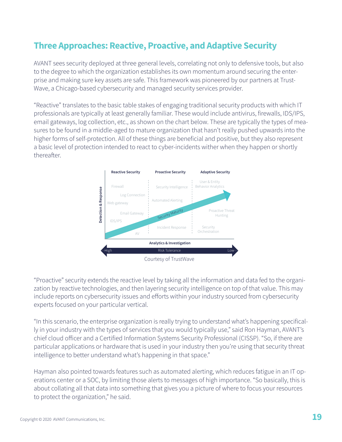# **Three Approaches: Reactive, Proactive, and Adaptive Security**

AVANT sees security deployed at three general levels, correlating not only to defensive tools, but also to the degree to which the organization establishes its own momentum around securing the enterprise and making sure key assets are safe. This framework was pioneered by our partners at Trust-Wave, a Chicago-based cybersecurity and managed security services provider.

"Reactive" translates to the basic table stakes of engaging traditional security products with which IT professionals are typically at least generally familiar. These would include antivirus, firewalls, IDS/IPS, email gateways, log collection, etc., as shown on the chart below. These are typically the types of measures to be found in a middle-aged to mature organization that hasn't really pushed upwards into the higher forms of self-protection. All of these things are beneficial and positive, but they also represent a basic level of protection intended to react to cyber-incidents wither when they happen or shortly thereafter.



"Proactive" security extends the reactive level by taking all the information and data fed to the organization by reactive technologies, and then layering security intelligence on top of that value. This may include reports on cybersecurity issues and efforts within your industry sourced from cybersecurity experts focused on your particular vertical.

"In this scenario, the enterprise organization is really trying to understand what's happening specifically in your industry with the types of services that you would typically use," said Ron Hayman, AVANT's chief cloud officer and a Certified Information Systems Security Professional (CISSP). "So, if there are particular applications or hardware that is used in your industry then you're using that security threat intelligence to better understand what's happening in that space."

Hayman also pointed towards features such as automated alerting, which reduces fatigue in an IT operations center or a SOC, by limiting those alerts to messages of high importance. "So basically, this is about collating all that data into something that gives you a picture of where to focus your resources to protect the organization," he said.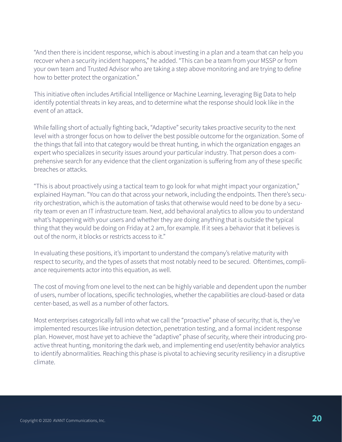"And then there is incident response, which is about investing in a plan and a team that can help you recover when a security incident happens," he added. "This can be a team from your MSSP or from your own team and Trusted Advisor who are taking a step above monitoring and are trying to define how to better protect the organization."

This initiative often includes Artificial Intelligence or Machine Learning, leveraging Big Data to help identify potential threats in key areas, and to determine what the response should look like in the event of an attack.

While falling short of actually fighting back, "Adaptive" security takes proactive security to the next level with a stronger focus on how to deliver the best possible outcome for the organization. Some of the things that fall into that category would be threat hunting, in which the organization engages an expert who specializes in security issues around your particular industry. That person does a comprehensive search for any evidence that the client organization is suffering from any of these specific breaches or attacks.

"This is about proactively using a tactical team to go look for what might impact your organization," explained Hayman. "You can do that across your network, including the endpoints. Then there's security orchestration, which is the automation of tasks that otherwise would need to be done by a security team or even an IT infrastructure team. Next, add behavioral analytics to allow you to understand what's happening with your users and whether they are doing anything that is outside the typical thing that they would be doing on Friday at 2 am, for example. If it sees a behavior that it believes is out of the norm, it blocks or restricts access to it."

In evaluating these positions, it's important to understand the company's relative maturity with respect to security, and the types of assets that most notably need to be secured. Oftentimes, compliance requirements actor into this equation, as well.

The cost of moving from one level to the next can be highly variable and dependent upon the number of users, number of locations, specific technologies, whether the capabilities are cloud-based or data center-based, as well as a number of other factors.

Most enterprises categorically fall into what we call the "proactive" phase of security; that is, they've implemented resources like intrusion detection, penetration testing, and a formal incident response plan. However, most have yet to achieve the "adaptive" phase of security, where their introducing proactive threat hunting, monitoring the dark web, and implementing end user/entity behavior analytics to identify abnormalities. Reaching this phase is pivotal to achieving security resiliency in a disruptive climate.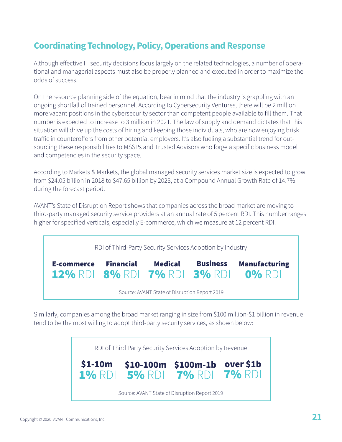# **Coordinating Technology, Policy, Operations and Response**

Although effective IT security decisions focus largely on the related technologies, a number of operational and managerial aspects must also be properly planned and executed in order to maximize the odds of success.

On the resource planning side of the equation, bear in mind that the industry is grappling with an ongoing shortfall of trained personnel. According to Cybersecurity Ventures, there will be 2 million more vacant positions in the cybersecurity sector than competent people available to fill them. That number is expected to increase to 3 million in 2021. The law of supply and demand dictates that this situation will drive up the costs of hiring and keeping those individuals, who are now enjoying brisk traffic in counteroffers from other potential employers. It's also fueling a substantial trend for outsourcing these responsibilities to MSSPs and Trusted Advisors who forge a specific business model and competencies in the security space.

According to Markets & Markets, the global managed security services market size is expected to grow from \$24.05 billion in 2018 to \$47.65 billion by 2023, at a Compound Annual Growth Rate of 14.7% during the forecast period.

AVANT's State of Disruption Report shows that companies across the broad market are moving to third-party managed security service providers at an annual rate of 5 percent RDI. This number ranges higher for specified verticals, especially E-commerce, which we measure at 12 percent RDI.



Similarly, companies among the broad market ranging in size from \$100 million-\$1 billion in revenue tend to be the most willing to adopt third-party security services, as shown below:

> RDI of Third Party Security Services Adoption by Revenue Source: [AVANT State of Disruption Report 2019](https://sommita.net/tools/security) 1% RDI 5% RDI 7% RDI 7% RDI \$1-10m \$10-100m \$100m-1b over \$1b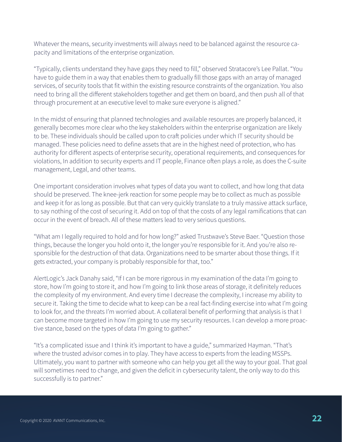Whatever the means, security investments will always need to be balanced against the resource capacity and limitations of the enterprise organization.

"Typically, clients understand they have gaps they need to fill," observed Stratacore's Lee Pallat. "You have to guide them in a way that enables them to gradually fill those gaps with an array of managed services, of security tools that fit within the existing resource constraints of the organization. You also need to bring all the different stakeholders together and get them on board, and then push all of that through procurement at an executive level to make sure everyone is aligned."

In the midst of ensuring that planned technologies and available resources are properly balanced, it generally becomes more clear who the key stakeholders within the enterprise organization are likely to be. These individuals should be called upon to craft policies under which IT security should be managed. These policies need to define assets that are in the highest need of protection, who has authority for different aspects of enterprise security, operational requirements, and consequences for violations, In addition to security experts and IT people, Finance often plays a role, as does the C-suite management, Legal, and other teams.

One important consideration involves what types of data you want to collect, and how long that data should be preserved. The knee-jerk reaction for some people may be to collect as much as possible and keep it for as long as possible. But that can very quickly translate to a truly massive attack surface, to say nothing of the cost of securing it. Add on top of that the costs of any legal ramifications that can occur in the event of breach. All of these matters lead to very serious questions.

"What am I legally required to hold and for how long?" asked Trustwave's Steve Baer. "Question those things, because the longer you hold onto it, the longer you're responsible for it. And you're also responsible for the destruction of that data. Organizations need to be smarter about those things. If it gets extracted, your company is probably responsible for that, too."

AlertLogic's Jack Danahy said, "If I can be more rigorous in my examination of the data I'm going to store, how I'm going to store it, and how I'm going to link those areas of storage, it definitely reduces the complexity of my environment. And every time I decrease the complexity, I increase my ability to secure it. Taking the time to decide what to keep can be a real fact-finding exercise into what I'm going to look for, and the threats I'm worried about. A collateral benefit of performing that analysis is that I can become more targeted in how I'm going to use my security resources. I can develop a more proactive stance, based on the types of data I'm going to gather."

"It's a complicated issue and I think it's important to have a guide," summarized Hayman. "That's where the trusted advisor comes in to play. They have access to experts from the leading MSSPs. Ultimately, you want to partner with someone who can help you get all the way to your goal. That goal will sometimes need to change, and given the deficit in cybersecurity talent, the only way to do this successfully is to partner."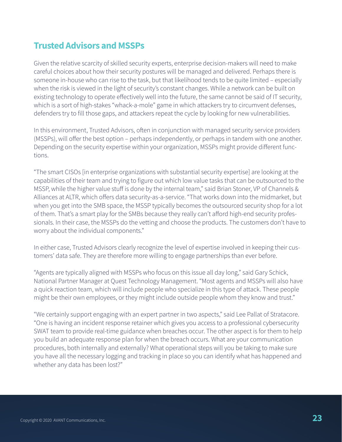## **Trusted Advisors and MSSPs**

Given the relative scarcity of skilled security experts, enterprise decision-makers will need to make careful choices about how their security postures will be managed and delivered. Perhaps there is someone in-house who can rise to the task, but that likelihood tends to be quite limited – especially when the risk is viewed in the light of security's constant changes. While a network can be built on existing technology to operate effectively well into the future, the same cannot be said of IT security, which is a sort of high-stakes "whack-a-mole" game in which attackers try to circumvent defenses, defenders try to fill those gaps, and attackers repeat the cycle by looking for new vulnerabilities.

In this environment, Trusted Advisors, often in conjunction with managed security service providers (MSSPs), will offer the best option – perhaps independently, or perhaps in tandem with one another. Depending on the security expertise within your organization, MSSPs might provide different functions.

"The smart CISOs [in enterprise organizations with substantial security expertise] are looking at the capabilities of their team and trying to figure out which low value tasks that can be outsourced to the MSSP, while the higher value stuff is done by the internal team," said Brian Stoner, VP of Channels & Alliances at ALTR, which offers data security-as-a-service. "That works down into the midmarket, but when you get into the SMB space, the MSSP typically becomes the outsourced security shop for a lot of them. That's a smart play for the SMBs because they really can't afford high-end security professionals. In their case, the MSSPs do the vetting and choose the products. The customers don't have to worry about the individual components."

In either case, Trusted Advisors clearly recognize the level of expertise involved in keeping their customers' data safe. They are therefore more willing to engage partnerships than ever before.

"Agents are typically aligned with MSSPs who focus on this issue all day long," said Gary Schick, National Partner Manager at Quest Technology Management. "Most agents and MSSPs will also have a quick reaction team, which will include people who specialize in this type of attack. These people might be their own employees, or they might include outside people whom they know and trust."

"We certainly support engaging with an expert partner in two aspects," said Lee Pallat of Stratacore. "One is having an incident response retainer which gives you access to a professional cybersecurity SWAT team to provide real-time guidance when breaches occur. The other aspect is for them to help you build an adequate response plan for when the breach occurs. What are your communication procedures, both internally and externally? What operational steps will you be taking to make sure you have all the necessary logging and tracking in place so you can identify what has happened and whether any data has been lost?"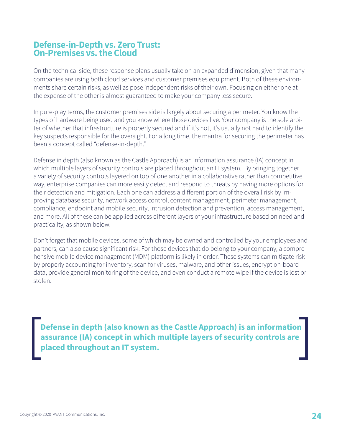### **Defense-in-Depth vs. Zero Trust: On-Premises vs. the Cloud**

On the technical side, these response plans usually take on an expanded dimension, given that many companies are using both cloud services and customer premises equipment. Both of these environments share certain risks, as well as pose independent risks of their own. Focusing on either one at the expense of the other is almost guaranteed to make your company less secure.

In pure-play terms, the customer premises side is largely about securing a perimeter. You know the types of hardware being used and you know where those devices live. Your company is the sole arbiter of whether that infrastructure is properly secured and if it's not, it's usually not hard to identify the key suspects responsible for the oversight. For a long time, the mantra for securing the perimeter has been a concept called "defense-in-depth."

Defense in depth (also known as the Castle Approach) is an information assurance (IA) concept in which multiple layers of security controls are placed throughout an IT system. By bringing together a variety of security controls layered on top of one another in a collaborative rather than competitive way, enterprise companies can more easily detect and respond to threats by having more options for their detection and mitigation. Each one can address a different portion of the overall risk by improving database security, network access control, content management, perimeter management, compliance, endpoint and mobile security, intrusion detection and prevention, access management, and more. All of these can be applied across different layers of your infrastructure based on need and practicality, as shown below.

Don't forget that mobile devices, some of which may be owned and controlled by your employees and partners, can also cause significant risk. For those devices that do belong to your company, a comprehensive mobile device management (MDM) platform is likely in order. These systems can mitigate risk by properly accounting for inventory, scan for viruses, malware, and other issues, encrypt on-board data, provide general monitoring of the device, and even conduct a remote wipe if the device is lost or stolen.

**Defense in depth (also known as the Castle Approach) is an information assurance (IA) concept in which multiple layers of security controls are placed throughout an IT system.**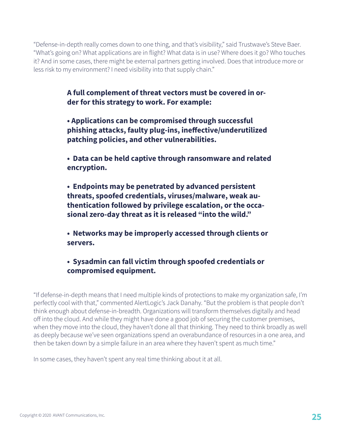"Defense-in-depth really comes down to one thing, and that's visibility," said Trustwave's Steve Baer. "What's going on? What applications are in flight? What data is in use? Where does it go? Who touches it? And in some cases, there might be external partners getting involved. Does that introduce more or less risk to my environment? I need visibility into that supply chain."

> **A full complement of threat vectors must be covered in order for this strategy to work. For example:**

- **Applications can be compromised through successful phishing attacks, faulty plug-ins, ineffective/underutilized patching policies, and other vulnerabilities.**
- **Data can be held captive through ransomware and related encryption.**
- **Endpoints may be penetrated by advanced persistent threats, spoofed credentials, viruses/malware, weak authentication followed by privilege escalation, or the occasional zero-day threat as it is released "into the wild."**
- **Networks may be improperly accessed through clients or servers.**

#### **• Sysadmin can fall victim through spoofed credentials or compromised equipment.**

"If defense-in-depth means that I need multiple kinds of protections to make my organization safe, I'm perfectly cool with that," commented AlertLogic's Jack Danahy. "But the problem is that people don't think enough about defense-in-breadth. Organizations will transform themselves digitally and head off into the cloud. And while they might have done a good job of securing the customer premises, when they move into the cloud, they haven't done all that thinking. They need to think broadly as well as deeply because we've seen organizations spend an overabundance of resources in a one area, and then be taken down by a simple failure in an area where they haven't spent as much time."

In some cases, they haven't spent any real time thinking about it at all.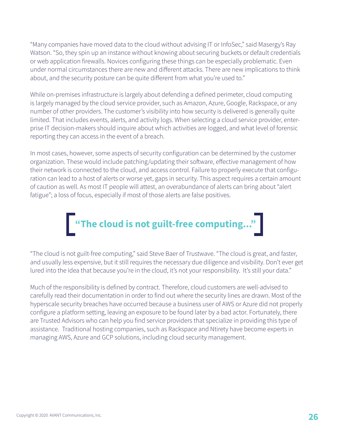"Many companies have moved data to the cloud without advising IT or InfoSec," said Masergy's Ray Watson. "So, they spin up an instance without knowing about securing buckets or default credentials or web application firewalls. Novices configuring these things can be especially problematic. Even under normal circumstances there are new and different attacks. There are new implications to think about, and the security posture can be quite different from what you're used to."

While on-premises infrastructure is largely about defending a defined perimeter, cloud computing is largely managed by the cloud service provider, such as Amazon, Azure, Google, Rackspace, or any number of other providers. The customer's visibility into how security is delivered is generally quite limited. That includes events, alerts, and activity logs. When selecting a cloud service provider, enterprise IT decision-makers should inquire about which activities are logged, and what level of forensic reporting they can access in the event of a breach.

In most cases, however, some aspects of security configuration can be determined by the customer organization. These would include patching/updating their software, effective management of how their network is connected to the cloud, and access control. Failure to properly execute that configuration can lead to a host of alerts or worse yet, gaps in security. This aspect requires a certain amount of caution as well. As most IT people will attest, an overabundance of alerts can bring about "alert fatigue"; a loss of focus, especially if most of those alerts are false positives.



"The cloud is not guilt-free computing," said Steve Baer of Trustwave. "The cloud is great, and faster, and usually less expensive, but it still requires the necessary due diligence and visibility. Don't ever get lured into the idea that because you're in the cloud, it's not your responsibility. It's still your data."

Much of the responsibility is defined by contract. Therefore, cloud customers are well-advised to carefully read their documentation in order to find out where the security lines are drawn. Most of the hyperscale security breaches have occurred because a business user of AWS or Azure did not properly configure a platform setting, leaving an exposure to be found later by a bad actor. Fortunately, there are Trusted Advisors who can help you find service providers that specialize in providing this type of assistance. Traditional hosting companies, such as Rackspace and Ntirety have become experts in managing AWS, Azure and GCP solutions, including cloud security management.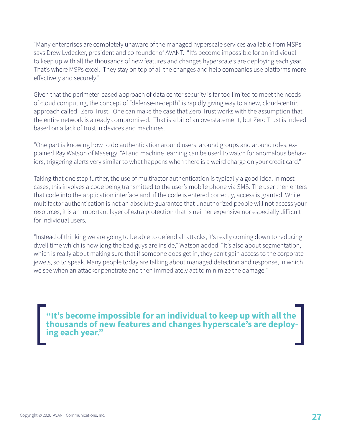"Many enterprises are completely unaware of the managed hyperscale services available from MSPs" says Drew Lydecker, president and co-founder of AVANT. "It's become impossible for an individual to keep up with all the thousands of new features and changes hyperscale's are deploying each year. That's where MSPs excel. They stay on top of all the changes and help companies use platforms more effectively and securely."

Given that the perimeter-based approach of data center security is far too limited to meet the needs of cloud computing, the concept of "defense-in-depth" is rapidly giving way to a new, cloud-centric approach called "Zero Trust." One can make the case that Zero Trust works with the assumption that the entire network is already compromised. That is a bit of an overstatement, but Zero Trust is indeed based on a lack of trust in devices and machines.

"One part is knowing how to do authentication around users, around groups and around roles, explained Ray Watson of Masergy. "AI and machine learning can be used to watch for anomalous behaviors, triggering alerts very similar to what happens when there is a weird charge on your credit card."

Taking that one step further, the use of multifactor authentication is typically a good idea. In most cases, this involves a code being transmitted to the user's mobile phone via SMS. The user then enters that code into the application interface and, if the code is entered correctly, access is granted. While multifactor authentication is not an absolute guarantee that unauthorized people will not access your resources, it is an important layer of extra protection that is neither expensive nor especially difficult for individual users.

"Instead of thinking we are going to be able to defend all attacks, it's really coming down to reducing dwell time which is how long the bad guys are inside," Watson added. "It's also about segmentation, which is really about making sure that if someone does get in, they can't gain access to the corporate jewels, so to speak. Many people today are talking about managed detection and response, in which we see when an attacker penetrate and then immediately act to minimize the damage."

**"It's become impossible for an individual to keep up with all the thousands of new features and changes hyperscale's are deploy- ing each year."**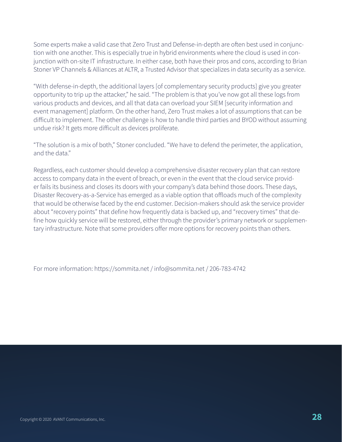Some experts make a valid case that Zero Trust and Defense-in-depth are often best used in conjunction with one another. This is especially true in hybrid environments where the cloud is used in conjunction with on-site IT infrastructure. In either case, both have their pros and cons, according to Brian Stoner VP Channels & Alliances at ALTR, a Trusted Advisor that specializes in data security as a service.

"With defense-in-depth, the additional layers [of complementary security products] give you greater opportunity to trip up the attacker," he said. "The problem is that you've now got all these logs from various products and devices, and all that data can overload your SIEM [security information and event management] platform. On the other hand, Zero Trust makes a lot of assumptions that can be difficult to implement. The other challenge is how to handle third parties and BYOD without assuming undue risk? It gets more difficult as devices proliferate.

"The solution is a mix of both," Stoner concluded. "We have to defend the perimeter, the application, and the data."

Regardless, each customer should develop a comprehensive disaster recovery plan that can restore access to company data in the event of breach, or even in the event that the cloud service provider fails its business and closes its doors with your company's data behind those doors. These days, Disaster Recovery-as-a-Service has emerged as a viable option that offloads much of the complexity that would be otherwise faced by the end customer. Decision-makers should ask the service provider about "recovery points" that define how frequently data is backed up, and "recovery times" that define how quickly service will be restored, either through the provider's primary network or supplementary infrastructure. Note that some providers offer more options for recovery points than others.

For more information: https://sommita.net / info@sommita.net / 206-783-4742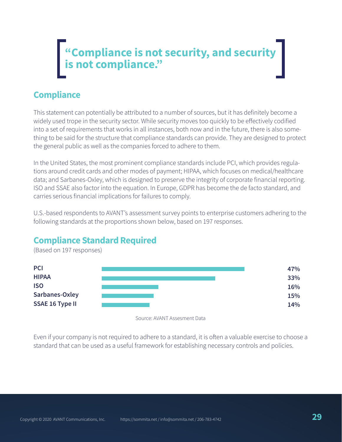# **"Compliance is not security, and security is not compliance."**

# **Compliance**

This statement can potentially be attributed to a number of sources, but it has definitely become a widely used trope in the security sector. While security moves too quickly to be effectively codified into a set of requirements that works in all instances, both now and in the future, there is also something to be said for the structure that compliance standards can provide. They are designed to protect the general public as well as the companies forced to adhere to them.

In the United States, the most prominent compliance standards include PCI, which provides regulations around credit cards and other modes of payment; HIPAA, which focuses on medical/healthcare data; and Sarbanes-Oxley, which is designed to preserve the integrity of corporate financial reporting. ISO and SSAE also factor into the equation. In Europe, GDPR has become the de facto standard, and carries serious financial implications for failures to comply.

U.S.-based respondents to AVANT's assessment survey points to enterprise customers adhering to the following standards at the proportions shown below, based on 197 responses.

#### (Based on 197 responses) **PCI HIPAA ISO Sarbanes-Oxley SSAE 16 Type II 47% 33% 16% 15% 14%**

# **Compliance Standard Required**

Source: AVANT Assesment Data

Even if your company is not required to adhere to a standard, it is often a valuable exercise to choose a standard that can be used as a useful framework for establishing necessary controls and policies.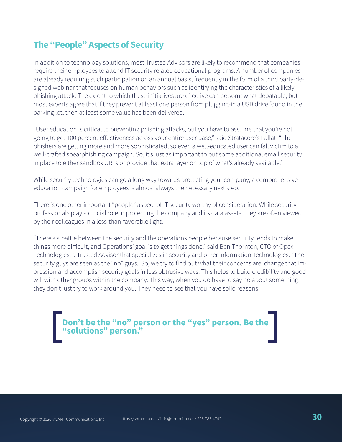# **The "People" Aspects of Security**

In addition to technology solutions, most Trusted Advisors are likely to recommend that companies require their employees to attend IT security related educational programs. A number of companies are already requiring such participation on an annual basis, frequently in the form of a third party-designed webinar that focuses on human behaviors such as identifying the characteristics of a likely phishing attack. The extent to which these initiatives are effective can be somewhat debatable, but most experts agree that if they prevent at least one person from plugging-in a USB drive found in the parking lot, then at least some value has been delivered.

"User education is critical to preventing phishing attacks, but you have to assume that you're not going to get 100 percent effectiveness across your entire user base," said Stratacore's Pallat. "The phishers are getting more and more sophisticated, so even a well-educated user can fall victim to a well-crafted spearphishing campaign. So, it's just as important to put some additional email security in place to either sandbox URLs or provide that extra layer on top of what's already available."

While security technologies can go a long way towards protecting your company, a comprehensive education campaign for employees is almost always the necessary next step.

There is one other important "people" aspect of IT security worthy of consideration. While security professionals play a crucial role in protecting the company and its data assets, they are often viewed by their colleagues in a less-than-favorable light.

"There's a battle between the security and the operations people because security tends to make things more difficult, and Operations' goal is to get things done," said Ben Thornton, CTO of Opex Technologies, a Trusted Advisor that specializes in security and other Information Technologies. "The security guys are seen as the "no" guys. So, we try to find out what their concerns are, change that impression and accomplish security goals in less obtrusive ways. This helps to build credibility and good will with other groups within the company. This way, when you do have to say no about something, they don't just try to work around you. They need to see that you have solid reasons.

**Don't be the "no" person or the "yes" person. Be the "solutions" person."**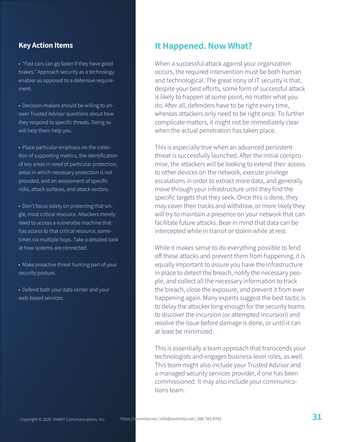#### **Key Action Items**

• "Fast cars can go faster if they have good brakes." Approach security as a technology enabler as opposed to a defensive requirement.

• Decision-makers should be willing to answer Trusted Advisor questions about how they respond to specific threats. Doing so will help them help you.

• Place particular emphasis on the collection of supporting metrics, the identification of key areas in need of particular protection, areas in which necessary protection is not provided, and an assessment of specific risks, attack surfaces, and attack vectors.

• Don't focus solely on protecting that single, most critical resource. Attackers merely need to access a vulnerable machine that has access to that critical resource, sometimes via multiple hops. Take a detailed look at how systems are connected.

• Make proactive threat hunting part of your security posture.

• Defend both your data center and your web-based services.

#### **It Happened. Now What?**

When a successful attack against your organization occurs, the required intervention must be both human and technological. The great irony of IT security is that, despite your best efforts, some form of successful attack is likely to happen at some point, no matter what you do. After all, defenders have to be right every time, whereas attackers only need to be right once. To further complicate matters, it might not be immediately clear when the actual penetration has taken place.

This is especially true when an advanced persistent threat is successfully launched. After the initial compromise, the attackers will be looking to extend their access to other devices on the network, execute privilege escalations in order to extract more data, and generally move through your infrastructure until they find the specific targets that they seek. Once this is done, they may cover their tracks and withdraw, or more likely they will try to maintain a presence on your network that can facilitate future attacks. Bear in mind that data can be intercepted while in transit or stolen while at rest.

While it makes sense to do everything possible to fend off these attacks and prevent them from happening, it is equally important to assure you have the infrastructure in place to detect the breach, notify the necessary people, and collect all the necessary information to track the breach, close the exposure, and prevent it from ever happening again. Many experts suggest the best tactic is to delay the attacker long enough for the security teams to discover the incursion (or attempted incursion) and resolve the issue before damage is done, or until it can at least be minimized.

This is essentially a team approach that transcends your technologists and engages business-level roles, as well. This team might also include your Trusted Advisor and a managed security services provider, if one has been commissioned. It may also include your communications team.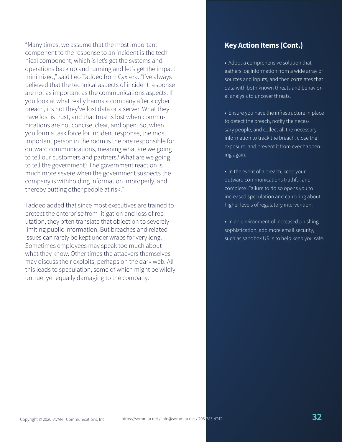"Many times, we assume that the most important component to the response to an incident is the technical component, which is let's get the systems and operations back up and running and let's get the impact minimized," said Leo Taddeo from Cyxtera. "I've always believed that the technical aspects of incident response are not as important as the communications aspects. If you look at what really harms a company after a cyber breach, it's not they've lost data or a server. What they have lost is trust, and that trust is lost when communications are not concise, clear, and open. So, when you form a task force for incident response, the most important person in the room is the one responsible for outward communications, meaning what are we going to tell our customers and partners? What are we going to tell the government? The government reaction is much more severe when the government suspects the company is withholding information improperly, and thereby putting other people at risk."

Taddeo added that since most executives are trained to protect the enterprise from litigation and loss of reputation, they often translate that objection to severely limiting public information. But breaches and related issues can rarely be kept under wraps for very long. Sometimes employees may speak too much about what they know. Other times the attackers themselves may discuss their exploits, perhaps on the dark web. All this leads to speculation, some of which might be wildly untrue, yet equally damaging to the company.

#### **Key Action Items (Cont.)**

• Adopt a comprehensive solution that gathers log information from a wide array of sources and inputs, and then correlates that data with both known threats and behavioral analysis to uncover threats.

• Ensure you have the infrastructure in place to detect the breach, notify the necessary people, and collect all the necessary information to track the breach, close the exposure, and prevent it from ever happening again.

• In the event of a breach, keep your outward communications truthful and complete. Failure to do so opens you to increased speculation and can bring about higher levels of regulatory intervention.

• In an environment of increased phishing sophistication, add more email security, such as sandbox URLs to help keep you safe.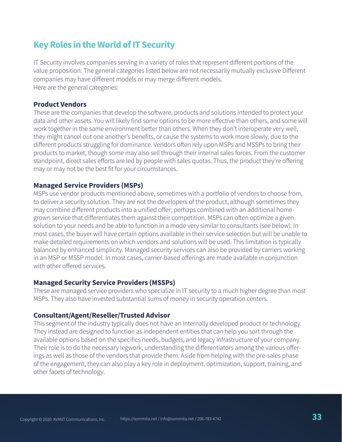# **Key Roles in the World of IT Security**

IT Security involves companies serving in a variety of roles that represent different portions of the value proposition. The general categories listed below are not necessarily mutually exclusive Different companies may have different models or may merge different models. Here are the general categories:

#### **Product Vendors**

These are the companies that develop the software, products and solutions intended to protect your data and other assets. You will likely find some options to be more effective than others, and some will work together in the same environment better than others. When they don't interoperate very well, they might cancel out one another's benefits, or cause the systems to work more slowly, due to the different products struggling for dominance. Vendors often rely upon MSPs and MSSPs to bring their products to market, though some may also sell through their internal sales forces. From the customer standpoint, direct sales efforts are led by people with sales quotas. Thus, the product they're offering may or may not be the best fit for your circumstances.

#### **Managed Service Providers (MSPs)**

MSPs use vendor products mentioned above, sometimes with a portfolio of vendors to choose from, to deliver a security solution. They are not the developers of the product, although sometimes they may combine different products into a unified offer; perhaps combined with an additional homegrown service that differentiates them against their competition. MSPs can often optimize a given solution to your needs and be able to function in a mode very similar to consultants (see below). In most cases, the buyer will have certain options available in their service selection but will be unable to make detailed requirements on which vendors and solutions will be used. This limitation is typically balanced by enhanced simplicity. Managed security services can also be provided by carriers working in an MSP or MSSP model. In most cases, carrier-based offerings are made available in conjunction with other offered services.

#### **Managed Security Service Providers (MSSPs)**

These are managed service providers who specialize in IT security to a much higher degree than most MSPs. They also have invested substantial sums of money in security operation centers.

#### **Consultant/Agent/Reseller/Trusted Advisor**

This segment of the industry typically does not have an internally developed product or technology. They instead are designed to function as independent entities that can help you sort through the available options based on the specifics needs, budgets, and legacy infrastructure of your company. Their role is to do the necessary legwork, understanding the differentiators among the various offerings as well as those of the vendors that provide them. Aside from helping with the pre-sales phase of the engagement, they can also play a key role in deployment, optimization, support, training, and other facets of technology.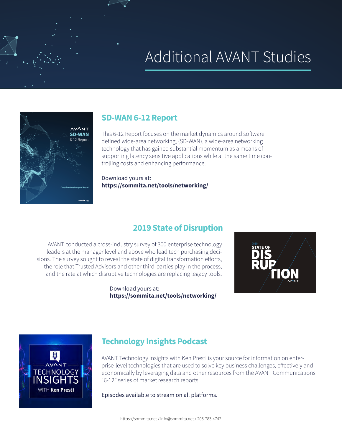# Additional AVANT Studies



#### **[SD-WAN 6-12 Report](https://sommita.net/tools/networking/)**

This 6-12 Report focuses on the market dynamics around software defined wide-area networking, (SD-WAN), a wide-area networking technology that has gained substantial momentum as a means of supporting latency sensitive applications while at the same time controlling costs and enhancing performance.

Download yours at: **<https://sommita.net/tools/networking/>**

#### **[2019 State of Disruption](https://sommita.net/tools/networking/)**

AVANT conducted a cross-industry survey of 300 enterprise technology leaders at the manager level and above who lead tech purchasing decisions. The survey sought to reveal the state of digital transformation efforts, the role that Trusted Advisors and other third-parties play in the process, and the rate at which disruptive technologies are replacing legacy tools.

> Download yours at: **<https://sommita.net/tools/networking/>**





#### **Technology Insights Podcast**

AVANT Technology Insights with Ken Presti is your source for information on enterprise-level technologies that are used to solve key business challenges, effectively and economically by leveraging data and other resources from the AVANT Communications "6-12" series of market research reports.

Episodes available to stream on all platforms.